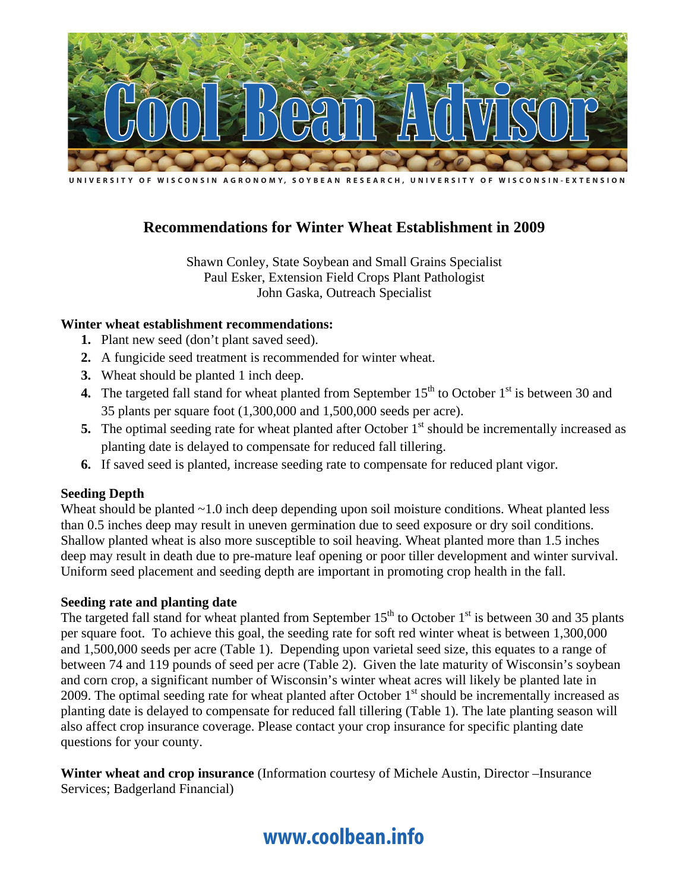

U N I V E R S I T Y O F W I S C O N S I N A G R O N O M Y, S O Y B E A N R E S E A R C H , U N I V E R S I T Y O F W I S C O N S I N - E X T E N S I O N

### **Recommendations for Winter Wheat Establishment in 2009**

Shawn Conley, State Soybean and Small Grains Specialist Paul Esker, Extension Field Crops Plant Pathologist John Gaska, Outreach Specialist

#### **Winter wheat establishment recommendations:**

- **1.** Plant new seed (don't plant saved seed).
- **2.** A fungicide seed treatment is recommended for winter wheat.
- **3.** Wheat should be planted 1 inch deep.
- **4.** The targeted fall stand for wheat planted from September  $15<sup>th</sup>$  to October  $1<sup>st</sup>$  is between 30 and 35 plants per square foot (1,300,000 and 1,500,000 seeds per acre).
- **5.** The optimal seeding rate for wheat planted after October  $1<sup>st</sup>$  should be incrementally increased as planting date is delayed to compensate for reduced fall tillering.
- **6.** If saved seed is planted, increase seeding rate to compensate for reduced plant vigor.

#### **Seeding Depth**

Wheat should be planted ~1.0 inch deep depending upon soil moisture conditions. Wheat planted less than 0.5 inches deep may result in uneven germination due to seed exposure or dry soil conditions. Shallow planted wheat is also more susceptible to soil heaving. Wheat planted more than 1.5 inches deep may result in death due to pre-mature leaf opening or poor tiller development and winter survival. Uniform seed placement and seeding depth are important in promoting crop health in the fall.

#### **Seeding rate and planting date**

The targeted fall stand for wheat planted from September  $15<sup>th</sup>$  to October  $1<sup>st</sup>$  is between 30 and 35 plants per square foot. To achieve this goal, the seeding rate for soft red winter wheat is between 1,300,000 and 1,500,000 seeds per acre (Table 1). Depending upon varietal seed size, this equates to a range of between 74 and 119 pounds of seed per acre (Table 2). Given the late maturity of Wisconsin's soybean and corn crop, a significant number of Wisconsin's winter wheat acres will likely be planted late in 2009. The optimal seeding rate for wheat planted after October  $1<sup>st</sup>$  should be incrementally increased as planting date is delayed to compensate for reduced fall tillering (Table 1). The late planting season will also affect crop insurance coverage. Please contact your crop insurance for specific planting date questions for your county.

**Winter wheat and crop insurance** (Information courtesy of Michele Austin, Director –Insurance Services; Badgerland Financial)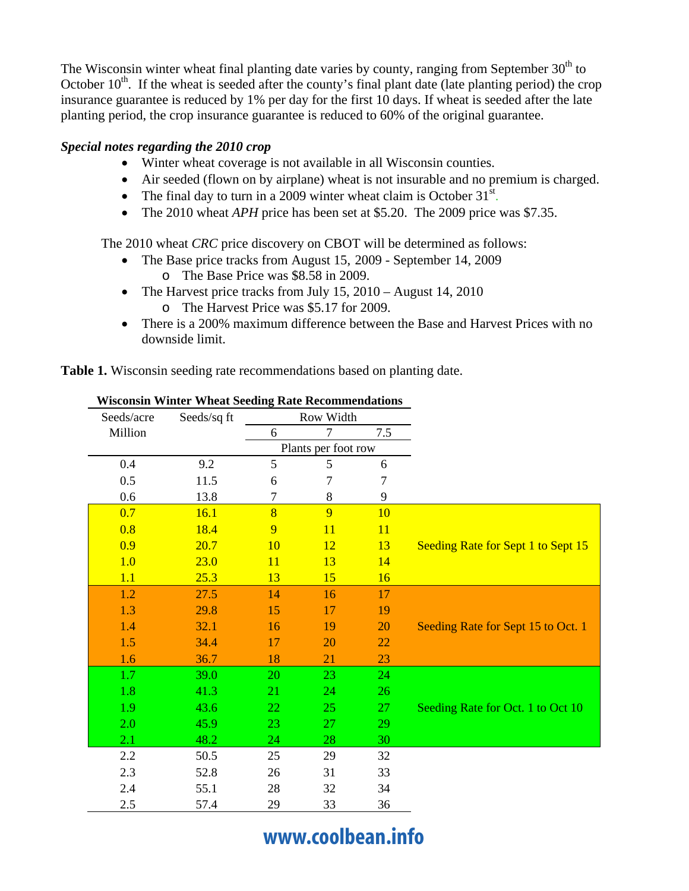The Wisconsin winter wheat final planting date varies by county, ranging from September  $30<sup>th</sup>$  to October 10<sup>th</sup>. If the wheat is seeded after the county's final plant date (late planting period) the crop insurance guarantee is reduced by 1% per day for the first 10 days. If wheat is seeded after the late planting period, the crop insurance guarantee is reduced to 60% of the original guarantee.

#### *Special notes regarding the 2010 crop*

- Winter wheat coverage is not available in all Wisconsin counties.
- Air seeded (flown on by airplane) wheat is not insurable and no premium is charged.
- The final day to turn in a 2009 winter wheat claim is October  $31<sup>st</sup>$ .
- The 2010 wheat *APH* price has been set at \$5.20. The 2009 price was \$7.35.

The 2010 wheat *CRC* price discovery on CBOT will be determined as follows:

- The Base price tracks from August 15, 2009 September 14, 2009 o The Base Price was \$8.58 in 2009.
- The Harvest price tracks from July 15, 2010 August 14, 2010 o The Harvest Price was \$5.17 for 2009.
- There is a 200% maximum difference between the Base and Harvest Prices with no downside limit.

**Table 1.** Wisconsin seeding rate recommendations based on planting date.

| Seeds/acre | Seeds/sq ft | Row Width      |                     |           |                                    |
|------------|-------------|----------------|---------------------|-----------|------------------------------------|
| Million    |             | 6              | 7                   | 7.5       |                                    |
|            |             |                | Plants per foot row |           |                                    |
| 0.4        | 9.2         | 5              | 5                   | 6         |                                    |
| 0.5        | 11.5        | 6              | 7                   | 7         |                                    |
| 0.6        | 13.8        | 7              | 8                   | 9         |                                    |
| 0.7        | 16.1        | $\overline{8}$ | 9                   | 10        |                                    |
| 0.8        | 18.4        | 9              | 11                  | <b>11</b> |                                    |
| 0.9        | 20.7        | 10             | <u>12</u>           | 13        | Seeding Rate for Sept 1 to Sept 15 |
| 1.0        | 23.0        | 11             | 13                  | 14        |                                    |
| 1.1        | 25.3        | 13             | 15                  | 16        |                                    |
| 1.2        | 27.5        | 14             | 16                  | 17        |                                    |
| 1.3        | 29.8        | 15             | 17                  | 19        |                                    |
| 1.4        | 32.1        | 16             | 19                  | 20        | Seeding Rate for Sept 15 to Oct. 1 |
| 1.5        | 34.4        | 17             | 20                  | 22        |                                    |
| 1.6        | 36.7        | 18             | 21                  | 23        |                                    |
| 1.7        | 39.0        | 20             | 23                  | 24        |                                    |
| 1.8        | 41.3        | 21             | 24                  | 26        |                                    |
| 1.9        | 43.6        | 22             | 25                  | 27        | Seeding Rate for Oct. 1 to Oct 10  |
| 2.0        | 45.9        | 23             | 27                  | 29        |                                    |
| 2.1        | 48.2        | 24             | 28                  | 30        |                                    |
| 2.2        | 50.5        | 25             | 29                  | 32        |                                    |
| 2.3        | 52.8        | 26             | 31                  | 33        |                                    |
| 2.4        | 55.1        | 28             | 32                  | 34        |                                    |
| 2.5        | 57.4        | 29             | 33                  | 36        |                                    |

**Wisconsin Winter Wheat Seeding Rate Recommendations**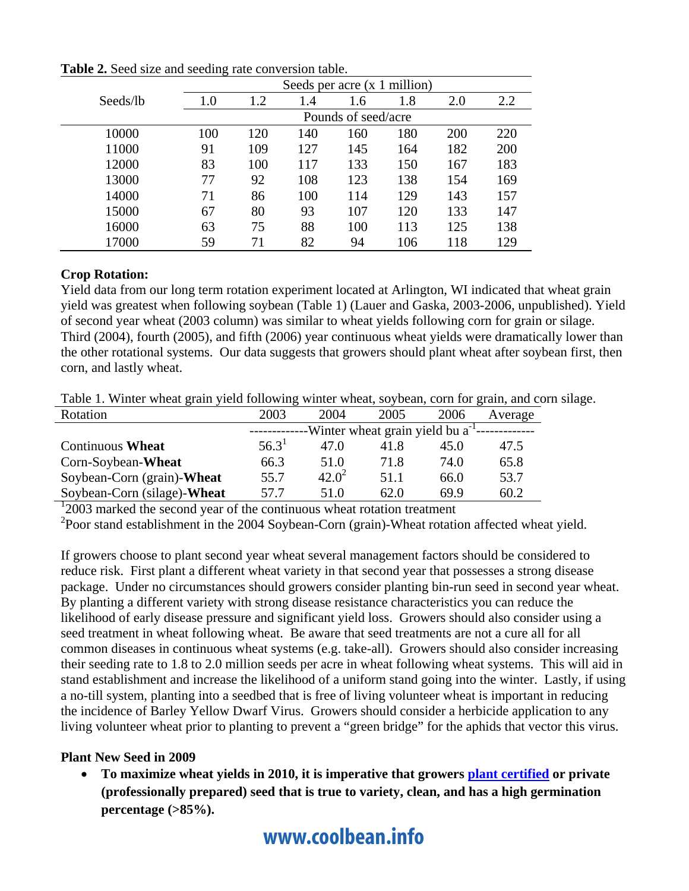|          | Seeds per acre $(x 1$ million) |     |     |     |     |     |     |  |
|----------|--------------------------------|-----|-----|-----|-----|-----|-----|--|
| Seeds/lb | 1.0                            | 1.2 | 1.4 | 1.6 | 1.8 | 2.0 | 2.2 |  |
|          | Pounds of seed/acre            |     |     |     |     |     |     |  |
| 10000    | 100                            | 120 | 140 | 160 | 180 | 200 | 220 |  |
| 11000    | 91                             | 109 | 127 | 145 | 164 | 182 | 200 |  |
| 12000    | 83                             | 100 | 117 | 133 | 150 | 167 | 183 |  |
| 13000    | 77                             | 92  | 108 | 123 | 138 | 154 | 169 |  |
| 14000    | 71                             | 86  | 100 | 114 | 129 | 143 | 157 |  |
| 15000    | 67                             | 80  | 93  | 107 | 120 | 133 | 147 |  |
| 16000    | 63                             | 75  | 88  | 100 | 113 | 125 | 138 |  |
| 17000    | 59                             | 71  | 82  | 94  | 106 | 118 | 129 |  |

**Table 2.** Seed size and seeding rate conversion table.

#### **Crop Rotation:**

Yield data from our long term rotation experiment located at Arlington, WI indicated that wheat grain yield was greatest when following soybean (Table 1) (Lauer and Gaska, 2003-2006, unpublished). Yield of second year wheat (2003 column) was similar to wheat yields following corn for grain or silage. Third (2004), fourth (2005), and fifth (2006) year continuous wheat yields were dramatically lower than the other rotational systems. Our data suggests that growers should plant wheat after soybean first, then corn, and lastly wheat.

Table 1. Winter wheat grain yield following winter wheat, soybean, corn for grain, and corn silage.

| Rotation                           | 2003                                            | 2004     | 2005 | 2006 | Average |  |
|------------------------------------|-------------------------------------------------|----------|------|------|---------|--|
|                                    | -Winter wheat grain yield bu a <sup>-1</sup> -- |          |      |      |         |  |
| <b>Continuous Wheat</b>            | $56.3^1$                                        | 47.O     | 41.8 | 45.0 | 47.5    |  |
| Corn-Soybean-Wheat                 | 66.3                                            | 51.0     | 71.8 | 74.0 | 65.8    |  |
| Soybean-Corn (grain)- <b>Wheat</b> | 55.7                                            | $42.0^2$ | 51.1 | 66.0 | 53.7    |  |
| Soybean-Corn (silage)-Wheat        | 57.7                                            | 51.0     | 62.0 | 69.9 | 60.2    |  |

<sup>1</sup>2003 marked the second year of the continuous wheat rotation treatment

<sup>2</sup>Poor stand establishment in the 2004 Soybean-Corn (grain)-Wheat rotation affected wheat yield.

If growers choose to plant second year wheat several management factors should be considered to reduce risk. First plant a different wheat variety in that second year that possesses a strong disease package. Under no circumstances should growers consider planting bin-run seed in second year wheat. By planting a different variety with strong disease resistance characteristics you can reduce the likelihood of early disease pressure and significant yield loss. Growers should also consider using a seed treatment in wheat following wheat. Be aware that seed treatments are not a cure all for all common diseases in continuous wheat systems (e.g. take-all). Growers should also consider increasing their seeding rate to 1.8 to 2.0 million seeds per acre in wheat following wheat systems. This will aid in stand establishment and increase the likelihood of a uniform stand going into the winter. Lastly, if using a no-till system, planting into a seedbed that is free of living volunteer wheat is important in reducing the incidence of Barley Yellow Dwarf Virus. Growers should consider a herbicide application to any living volunteer wheat prior to planting to prevent a "green bridge" for the aphids that vector this virus.

#### **Plant New Seed in 2009**

 **To maximize wheat yields in 2010, it is imperative that growers plant certified or private (professionally prepared) seed that is true to variety, clean, and has a high germination percentage (>85%).**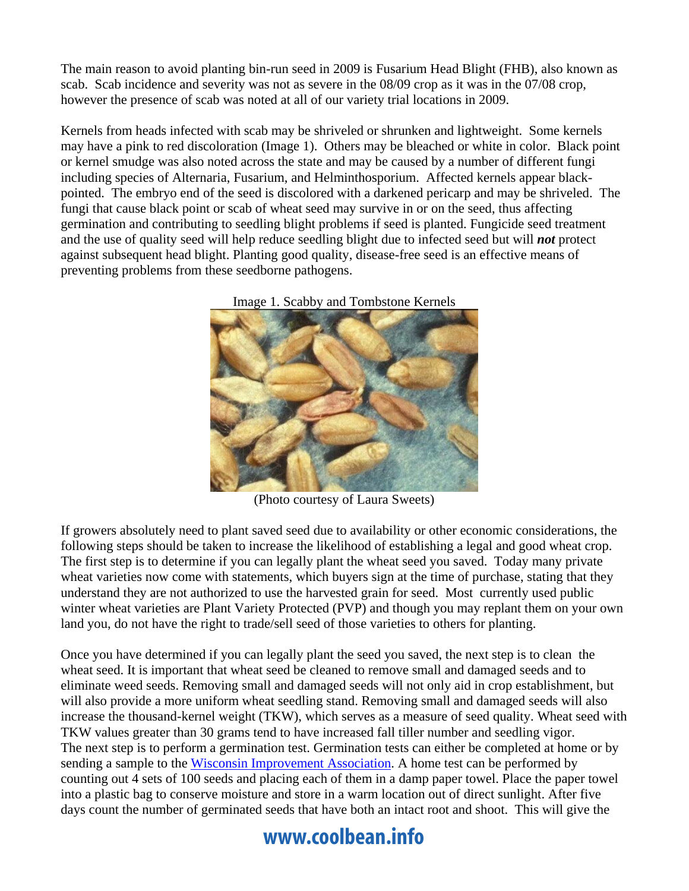The main reason to avoid planting bin-run seed in 2009 is Fusarium Head Blight (FHB), also known as scab. Scab incidence and severity was not as severe in the 08/09 crop as it was in the 07/08 crop, however the presence of scab was noted at all of our variety trial locations in 2009.

Kernels from heads infected with scab may be shriveled or shrunken and lightweight. Some kernels may have a pink to red discoloration (Image 1). Others may be bleached or white in color. Black point or kernel smudge was also noted across the state and may be caused by a number of different fungi including species of Alternaria, Fusarium, and Helminthosporium. Affected kernels appear blackpointed. The embryo end of the seed is discolored with a darkened pericarp and may be shriveled. The fungi that cause black point or scab of wheat seed may survive in or on the seed, thus affecting germination and contributing to seedling blight problems if seed is planted. Fungicide seed treatment and the use of quality seed will help reduce seedling blight due to infected seed but will *not* protect against subsequent head blight. Planting good quality, disease-free seed is an effective means of preventing problems from these seedborne pathogens.





(Photo courtesy of Laura Sweets)

If growers absolutely need to plant saved seed due to availability or other economic considerations, the following steps should be taken to increase the likelihood of establishing a legal and good wheat crop. The first step is to determine if you can legally plant the wheat seed you saved. Today many private wheat varieties now come with statements, which buyers sign at the time of purchase, stating that they understand they are not authorized to use the harvested grain for seed. Most currently used public winter wheat varieties are Plant Variety Protected (PVP) and though you may replant them on your own land you, do not have the right to trade/sell seed of those varieties to others for planting.

Once you have determined if you can legally plant the seed you saved, the next step is to clean the wheat seed. It is important that wheat seed be cleaned to remove small and damaged seeds and to eliminate weed seeds. Removing small and damaged seeds will not only aid in crop establishment, but will also provide a more uniform wheat seedling stand. Removing small and damaged seeds will also increase the thousand-kernel weight (TKW), which serves as a measure of seed quality. Wheat seed with TKW values greater than 30 grams tend to have increased fall tiller number and seedling vigor. The next step is to perform a germination test. Germination tests can either be completed at home or by sending a sample to the Wisconsin Improvement Association. A home test can be performed by counting out 4 sets of 100 seeds and placing each of them in a damp paper towel. Place the paper towel into a plastic bag to conserve moisture and store in a warm location out of direct sunlight. After five days count the number of germinated seeds that have both an intact root and shoot. This will give the